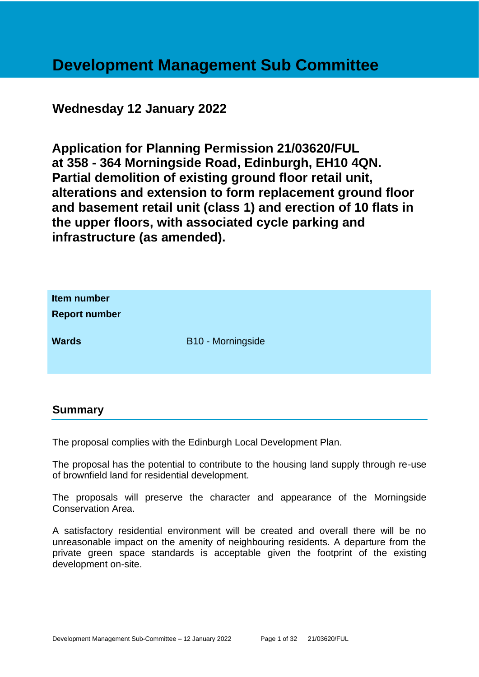# **Development Management Sub Committee**

# **Wednesday 12 January 2022**

**Application for Planning Permission 21/03620/FUL at 358 - 364 Morningside Road, Edinburgh, EH10 4QN. Partial demolition of existing ground floor retail unit, alterations and extension to form replacement ground floor and basement retail unit (class 1) and erection of 10 flats in the upper floors, with associated cycle parking and infrastructure (as amended).**

| Item number<br><b>Report number</b> |                   |
|-------------------------------------|-------------------|
| <b>Wards</b>                        | B10 - Morningside |

#### **Summary**

The proposal complies with the Edinburgh Local Development Plan.

The proposal has the potential to contribute to the housing land supply through re-use of brownfield land for residential development.

The proposals will preserve the character and appearance of the Morningside Conservation Area.

A satisfactory residential environment will be created and overall there will be no unreasonable impact on the amenity of neighbouring residents. A departure from the private green space standards is acceptable given the footprint of the existing development on-site.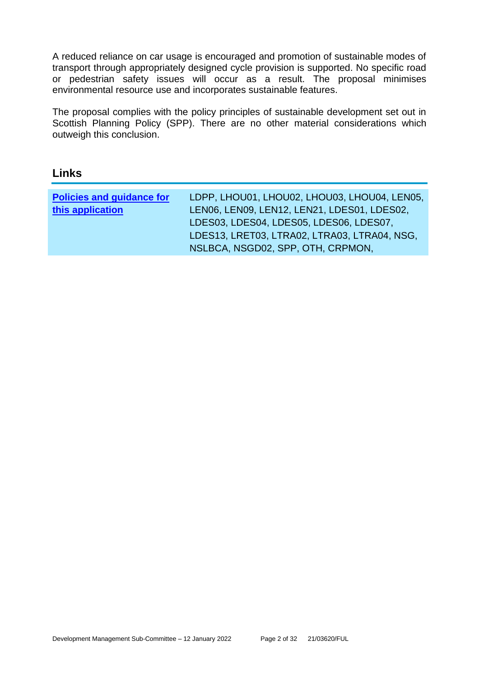A reduced reliance on car usage is encouraged and promotion of sustainable modes of transport through appropriately designed cycle provision is supported. No specific road or pedestrian safety issues will occur as a result. The proposal minimises environmental resource use and incorporates sustainable features.

The proposal complies with the policy principles of sustainable development set out in Scottish Planning Policy (SPP). There are no other material considerations which outweigh this conclusion.

# **Links**

| <b>Policies and guidance for</b> | LDPP, LHOU01, LHOU02, LHOU03, LHOU04, LEN05, |
|----------------------------------|----------------------------------------------|
| this application                 | LEN06, LEN09, LEN12, LEN21, LDES01, LDES02,  |
|                                  | LDES03, LDES04, LDES05, LDES06, LDES07,      |
|                                  | LDES13, LRET03, LTRA02, LTRA03, LTRA04, NSG, |
|                                  | NSLBCA, NSGD02, SPP, OTH, CRPMON,            |
|                                  |                                              |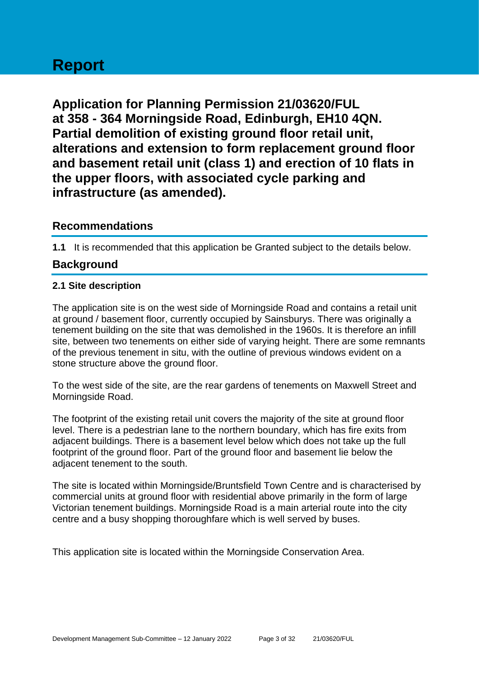# **Report**

**Application for Planning Permission 21/03620/FUL at 358 - 364 Morningside Road, Edinburgh, EH10 4QN. Partial demolition of existing ground floor retail unit, alterations and extension to form replacement ground floor and basement retail unit (class 1) and erection of 10 flats in the upper floors, with associated cycle parking and infrastructure (as amended).**

# **Recommendations**

**1.1** It is recommended that this application be Granted subject to the details below.

# **Background**

#### **2.1 Site description**

The application site is on the west side of Morningside Road and contains a retail unit at ground / basement floor, currently occupied by Sainsburys. There was originally a tenement building on the site that was demolished in the 1960s. It is therefore an infill site, between two tenements on either side of varying height. There are some remnants of the previous tenement in situ, with the outline of previous windows evident on a stone structure above the ground floor.

To the west side of the site, are the rear gardens of tenements on Maxwell Street and Morningside Road.

The footprint of the existing retail unit covers the majority of the site at ground floor level. There is a pedestrian lane to the northern boundary, which has fire exits from adjacent buildings. There is a basement level below which does not take up the full footprint of the ground floor. Part of the ground floor and basement lie below the adjacent tenement to the south.

The site is located within Morningside/Bruntsfield Town Centre and is characterised by commercial units at ground floor with residential above primarily in the form of large Victorian tenement buildings. Morningside Road is a main arterial route into the city centre and a busy shopping thoroughfare which is well served by buses.

This application site is located within the Morningside Conservation Area.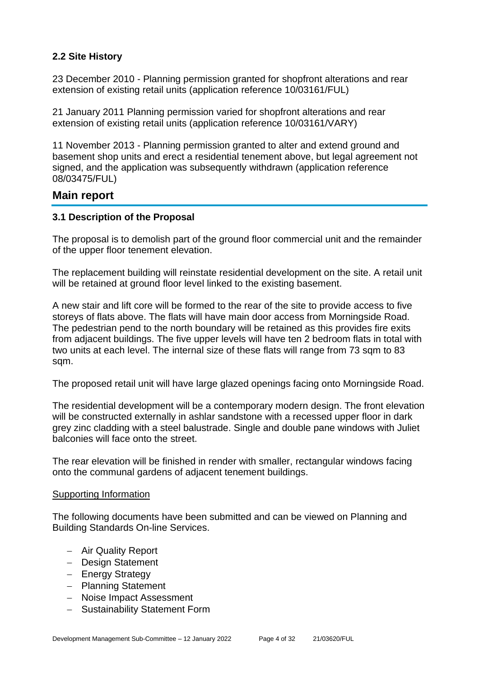## **2.2 Site History**

23 December 2010 - Planning permission granted for shopfront alterations and rear extension of existing retail units (application reference 10/03161/FUL)

21 January 2011 Planning permission varied for shopfront alterations and rear extension of existing retail units (application reference 10/03161/VARY)

11 November 2013 - Planning permission granted to alter and extend ground and basement shop units and erect a residential tenement above, but legal agreement not signed, and the application was subsequently withdrawn (application reference 08/03475/FUL)

# **Main report**

#### **3.1 Description of the Proposal**

The proposal is to demolish part of the ground floor commercial unit and the remainder of the upper floor tenement elevation.

The replacement building will reinstate residential development on the site. A retail unit will be retained at ground floor level linked to the existing basement.

A new stair and lift core will be formed to the rear of the site to provide access to five storeys of flats above. The flats will have main door access from Morningside Road. The pedestrian pend to the north boundary will be retained as this provides fire exits from adjacent buildings. The five upper levels will have ten 2 bedroom flats in total with two units at each level. The internal size of these flats will range from 73 sqm to 83 sqm.

The proposed retail unit will have large glazed openings facing onto Morningside Road.

The residential development will be a contemporary modern design. The front elevation will be constructed externally in ashlar sandstone with a recessed upper floor in dark grey zinc cladding with a steel balustrade. Single and double pane windows with Juliet balconies will face onto the street.

The rear elevation will be finished in render with smaller, rectangular windows facing onto the communal gardens of adjacent tenement buildings.

#### Supporting Information

The following documents have been submitted and can be viewed on Planning and Building Standards On-line Services.

- − Air Quality Report
- − Design Statement
- − Energy Strategy
- − Planning Statement
- − Noise Impact Assessment
- − Sustainability Statement Form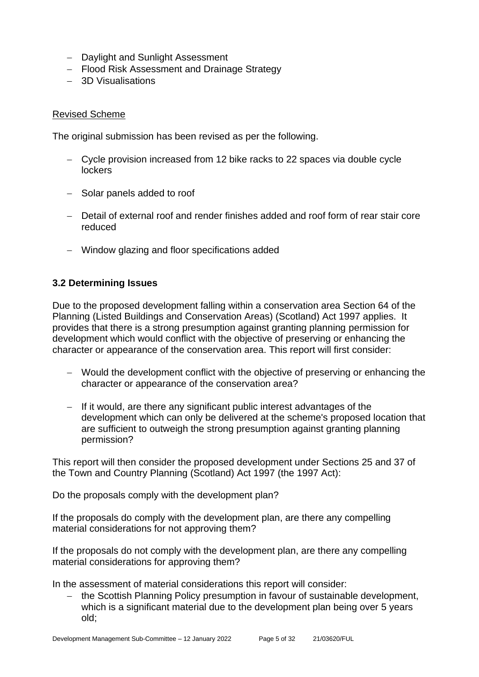- − Daylight and Sunlight Assessment
- − Flood Risk Assessment and Drainage Strategy
- − 3D Visualisations

#### Revised Scheme

The original submission has been revised as per the following.

- − Cycle provision increased from 12 bike racks to 22 spaces via double cycle **lockers**
- − Solar panels added to roof
- − Detail of external roof and render finishes added and roof form of rear stair core reduced
- − Window glazing and floor specifications added

#### **3.2 Determining Issues**

Due to the proposed development falling within a conservation area Section 64 of the Planning (Listed Buildings and Conservation Areas) (Scotland) Act 1997 applies. It provides that there is a strong presumption against granting planning permission for development which would conflict with the objective of preserving or enhancing the character or appearance of the conservation area. This report will first consider:

- − Would the development conflict with the objective of preserving or enhancing the character or appearance of the conservation area?
- − If it would, are there any significant public interest advantages of the development which can only be delivered at the scheme's proposed location that are sufficient to outweigh the strong presumption against granting planning permission?

This report will then consider the proposed development under Sections 25 and 37 of the Town and Country Planning (Scotland) Act 1997 (the 1997 Act):

Do the proposals comply with the development plan?

If the proposals do comply with the development plan, are there any compelling material considerations for not approving them?

If the proposals do not comply with the development plan, are there any compelling material considerations for approving them?

In the assessment of material considerations this report will consider:

the Scottish Planning Policy presumption in favour of sustainable development, which is a significant material due to the development plan being over 5 years old;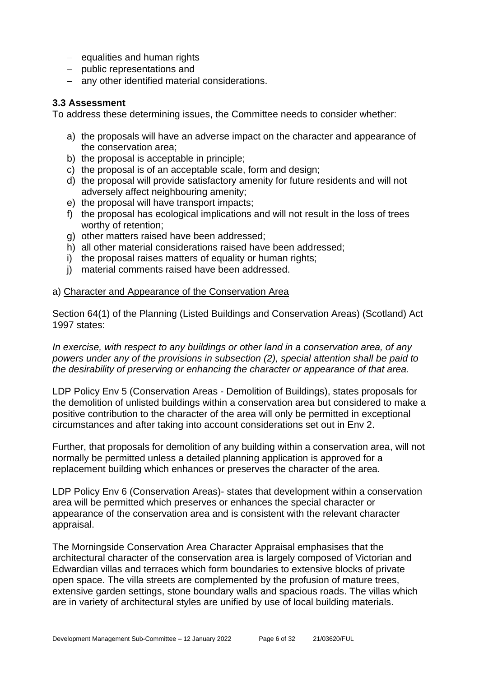- − equalities and human rights
- − public representations and
- − any other identified material considerations.

#### **3.3 Assessment**

To address these determining issues, the Committee needs to consider whether:

- a) the proposals will have an adverse impact on the character and appearance of the conservation area;
- b) the proposal is acceptable in principle;
- c) the proposal is of an acceptable scale, form and design;
- d) the proposal will provide satisfactory amenity for future residents and will not adversely affect neighbouring amenity;
- e) the proposal will have transport impacts;
- f) the proposal has ecological implications and will not result in the loss of trees worthy of retention;
- g) other matters raised have been addressed;
- h) all other material considerations raised have been addressed;
- i) the proposal raises matters of equality or human rights;
- j) material comments raised have been addressed.

#### a) Character and Appearance of the Conservation Area

Section 64(1) of the Planning (Listed Buildings and Conservation Areas) (Scotland) Act 1997 states:

*In exercise, with respect to any buildings or other land in a conservation area, of any powers under any of the provisions in subsection (2), special attention shall be paid to the desirability of preserving or enhancing the character or appearance of that area.*

LDP Policy Env 5 (Conservation Areas - Demolition of Buildings), states proposals for the demolition of unlisted buildings within a conservation area but considered to make a positive contribution to the character of the area will only be permitted in exceptional circumstances and after taking into account considerations set out in Env 2.

Further, that proposals for demolition of any building within a conservation area, will not normally be permitted unless a detailed planning application is approved for a replacement building which enhances or preserves the character of the area.

LDP Policy Env 6 (Conservation Areas)- states that development within a conservation area will be permitted which preserves or enhances the special character or appearance of the conservation area and is consistent with the relevant character appraisal.

The Morningside Conservation Area Character Appraisal emphasises that the architectural character of the conservation area is largely composed of Victorian and Edwardian villas and terraces which form boundaries to extensive blocks of private open space. The villa streets are complemented by the profusion of mature trees, extensive garden settings, stone boundary walls and spacious roads. The villas which are in variety of architectural styles are unified by use of local building materials.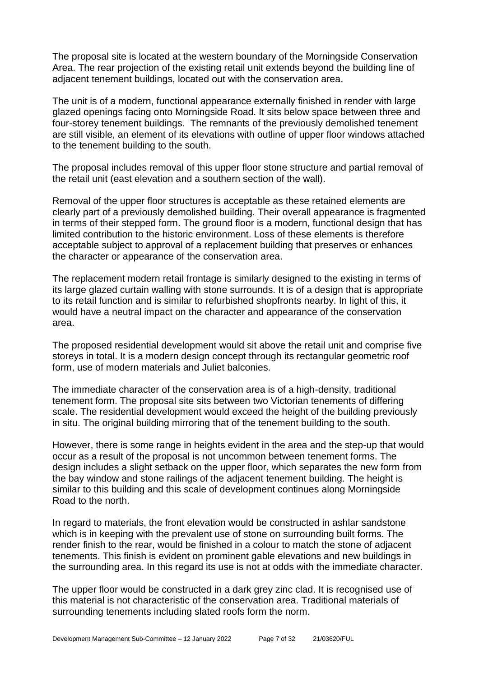The proposal site is located at the western boundary of the Morningside Conservation Area. The rear projection of the existing retail unit extends beyond the building line of adjacent tenement buildings, located out with the conservation area.

The unit is of a modern, functional appearance externally finished in render with large glazed openings facing onto Morningside Road. It sits below space between three and four-storey tenement buildings. The remnants of the previously demolished tenement are still visible, an element of its elevations with outline of upper floor windows attached to the tenement building to the south.

The proposal includes removal of this upper floor stone structure and partial removal of the retail unit (east elevation and a southern section of the wall).

Removal of the upper floor structures is acceptable as these retained elements are clearly part of a previously demolished building. Their overall appearance is fragmented in terms of their stepped form. The ground floor is a modern, functional design that has limited contribution to the historic environment. Loss of these elements is therefore acceptable subject to approval of a replacement building that preserves or enhances the character or appearance of the conservation area.

The replacement modern retail frontage is similarly designed to the existing in terms of its large glazed curtain walling with stone surrounds. It is of a design that is appropriate to its retail function and is similar to refurbished shopfronts nearby. In light of this, it would have a neutral impact on the character and appearance of the conservation area.

The proposed residential development would sit above the retail unit and comprise five storeys in total. It is a modern design concept through its rectangular geometric roof form, use of modern materials and Juliet balconies.

The immediate character of the conservation area is of a high-density, traditional tenement form. The proposal site sits between two Victorian tenements of differing scale. The residential development would exceed the height of the building previously in situ. The original building mirroring that of the tenement building to the south.

However, there is some range in heights evident in the area and the step-up that would occur as a result of the proposal is not uncommon between tenement forms. The design includes a slight setback on the upper floor, which separates the new form from the bay window and stone railings of the adjacent tenement building. The height is similar to this building and this scale of development continues along Morningside Road to the north.

In regard to materials, the front elevation would be constructed in ashlar sandstone which is in keeping with the prevalent use of stone on surrounding built forms. The render finish to the rear, would be finished in a colour to match the stone of adjacent tenements. This finish is evident on prominent gable elevations and new buildings in the surrounding area. In this regard its use is not at odds with the immediate character.

The upper floor would be constructed in a dark grey zinc clad. It is recognised use of this material is not characteristic of the conservation area. Traditional materials of surrounding tenements including slated roofs form the norm.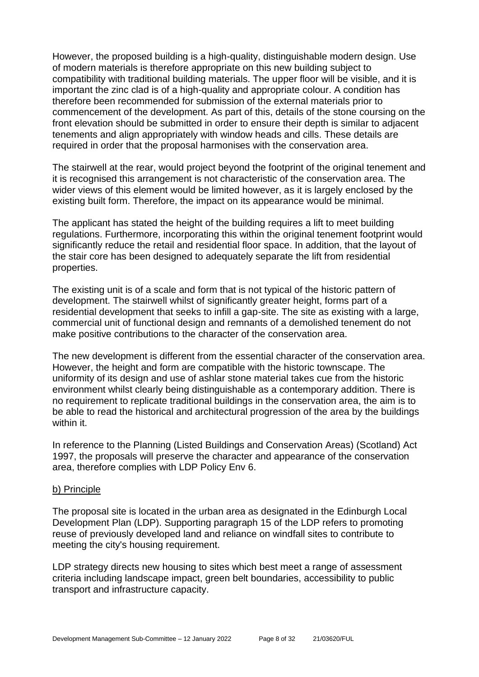However, the proposed building is a high-quality, distinguishable modern design. Use of modern materials is therefore appropriate on this new building subject to compatibility with traditional building materials. The upper floor will be visible, and it is important the zinc clad is of a high-quality and appropriate colour. A condition has therefore been recommended for submission of the external materials prior to commencement of the development. As part of this, details of the stone coursing on the front elevation should be submitted in order to ensure their depth is similar to adjacent tenements and align appropriately with window heads and cills. These details are required in order that the proposal harmonises with the conservation area.

The stairwell at the rear, would project beyond the footprint of the original tenement and it is recognised this arrangement is not characteristic of the conservation area. The wider views of this element would be limited however, as it is largely enclosed by the existing built form. Therefore, the impact on its appearance would be minimal.

The applicant has stated the height of the building requires a lift to meet building regulations. Furthermore, incorporating this within the original tenement footprint would significantly reduce the retail and residential floor space. In addition, that the layout of the stair core has been designed to adequately separate the lift from residential properties.

The existing unit is of a scale and form that is not typical of the historic pattern of development. The stairwell whilst of significantly greater height, forms part of a residential development that seeks to infill a gap-site. The site as existing with a large, commercial unit of functional design and remnants of a demolished tenement do not make positive contributions to the character of the conservation area.

The new development is different from the essential character of the conservation area. However, the height and form are compatible with the historic townscape. The uniformity of its design and use of ashlar stone material takes cue from the historic environment whilst clearly being distinguishable as a contemporary addition. There is no requirement to replicate traditional buildings in the conservation area, the aim is to be able to read the historical and architectural progression of the area by the buildings within it.

In reference to the Planning (Listed Buildings and Conservation Areas) (Scotland) Act 1997, the proposals will preserve the character and appearance of the conservation area, therefore complies with LDP Policy Env 6.

#### b) Principle

The proposal site is located in the urban area as designated in the Edinburgh Local Development Plan (LDP). Supporting paragraph 15 of the LDP refers to promoting reuse of previously developed land and reliance on windfall sites to contribute to meeting the city's housing requirement.

LDP strategy directs new housing to sites which best meet a range of assessment criteria including landscape impact, green belt boundaries, accessibility to public transport and infrastructure capacity.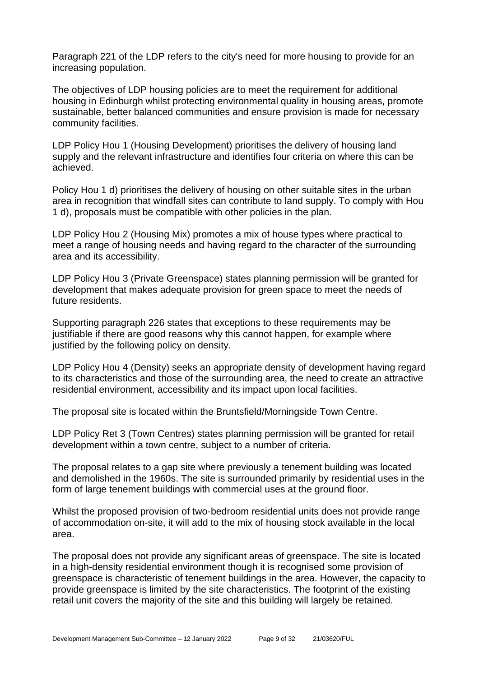Paragraph 221 of the LDP refers to the city's need for more housing to provide for an increasing population.

The objectives of LDP housing policies are to meet the requirement for additional housing in Edinburgh whilst protecting environmental quality in housing areas, promote sustainable, better balanced communities and ensure provision is made for necessary community facilities.

LDP Policy Hou 1 (Housing Development) prioritises the delivery of housing land supply and the relevant infrastructure and identifies four criteria on where this can be achieved.

Policy Hou 1 d) prioritises the delivery of housing on other suitable sites in the urban area in recognition that windfall sites can contribute to land supply. To comply with Hou 1 d), proposals must be compatible with other policies in the plan.

LDP Policy Hou 2 (Housing Mix) promotes a mix of house types where practical to meet a range of housing needs and having regard to the character of the surrounding area and its accessibility.

LDP Policy Hou 3 (Private Greenspace) states planning permission will be granted for development that makes adequate provision for green space to meet the needs of future residents.

Supporting paragraph 226 states that exceptions to these requirements may be justifiable if there are good reasons why this cannot happen, for example where justified by the following policy on density.

LDP Policy Hou 4 (Density) seeks an appropriate density of development having regard to its characteristics and those of the surrounding area, the need to create an attractive residential environment, accessibility and its impact upon local facilities.

The proposal site is located within the Bruntsfield/Morningside Town Centre.

LDP Policy Ret 3 (Town Centres) states planning permission will be granted for retail development within a town centre, subject to a number of criteria.

The proposal relates to a gap site where previously a tenement building was located and demolished in the 1960s. The site is surrounded primarily by residential uses in the form of large tenement buildings with commercial uses at the ground floor.

Whilst the proposed provision of two-bedroom residential units does not provide range of accommodation on-site, it will add to the mix of housing stock available in the local area.

The proposal does not provide any significant areas of greenspace. The site is located in a high-density residential environment though it is recognised some provision of greenspace is characteristic of tenement buildings in the area. However, the capacity to provide greenspace is limited by the site characteristics. The footprint of the existing retail unit covers the majority of the site and this building will largely be retained.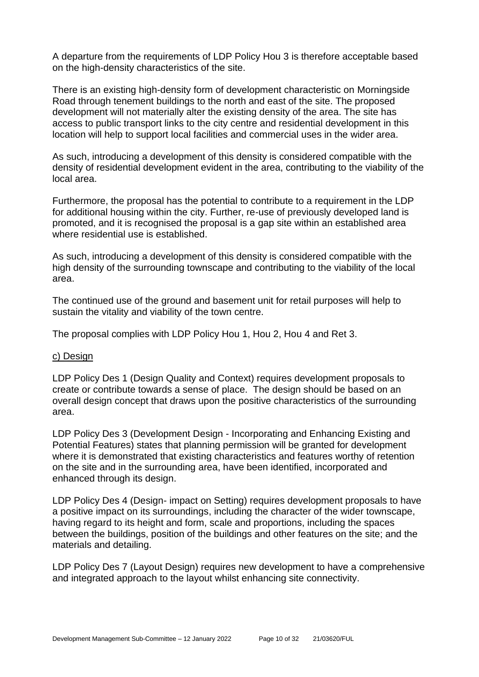A departure from the requirements of LDP Policy Hou 3 is therefore acceptable based on the high-density characteristics of the site.

There is an existing high-density form of development characteristic on Morningside Road through tenement buildings to the north and east of the site. The proposed development will not materially alter the existing density of the area. The site has access to public transport links to the city centre and residential development in this location will help to support local facilities and commercial uses in the wider area.

As such, introducing a development of this density is considered compatible with the density of residential development evident in the area, contributing to the viability of the local area.

Furthermore, the proposal has the potential to contribute to a requirement in the LDP for additional housing within the city. Further, re-use of previously developed land is promoted, and it is recognised the proposal is a gap site within an established area where residential use is established.

As such, introducing a development of this density is considered compatible with the high density of the surrounding townscape and contributing to the viability of the local area.

The continued use of the ground and basement unit for retail purposes will help to sustain the vitality and viability of the town centre.

The proposal complies with LDP Policy Hou 1, Hou 2, Hou 4 and Ret 3.

#### c) Design

LDP Policy Des 1 (Design Quality and Context) requires development proposals to create or contribute towards a sense of place. The design should be based on an overall design concept that draws upon the positive characteristics of the surrounding area.

LDP Policy Des 3 (Development Design - Incorporating and Enhancing Existing and Potential Features) states that planning permission will be granted for development where it is demonstrated that existing characteristics and features worthy of retention on the site and in the surrounding area, have been identified, incorporated and enhanced through its design.

LDP Policy Des 4 (Design- impact on Setting) requires development proposals to have a positive impact on its surroundings, including the character of the wider townscape, having regard to its height and form, scale and proportions, including the spaces between the buildings, position of the buildings and other features on the site; and the materials and detailing.

LDP Policy Des 7 (Layout Design) requires new development to have a comprehensive and integrated approach to the layout whilst enhancing site connectivity.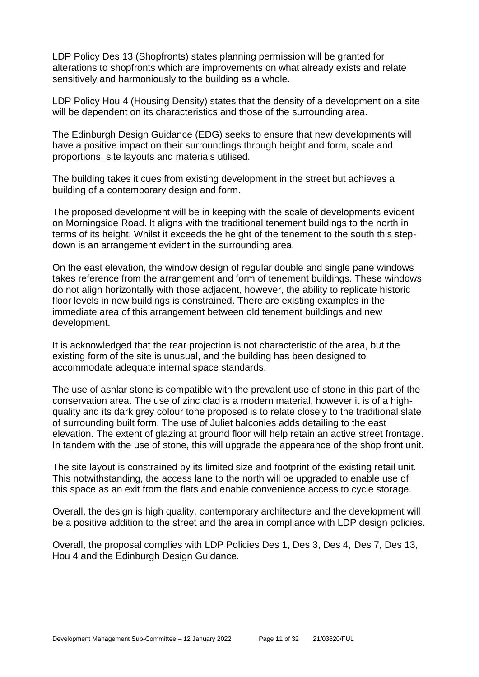LDP Policy Des 13 (Shopfronts) states planning permission will be granted for alterations to shopfronts which are improvements on what already exists and relate sensitively and harmoniously to the building as a whole.

LDP Policy Hou 4 (Housing Density) states that the density of a development on a site will be dependent on its characteristics and those of the surrounding area.

The Edinburgh Design Guidance (EDG) seeks to ensure that new developments will have a positive impact on their surroundings through height and form, scale and proportions, site layouts and materials utilised.

The building takes it cues from existing development in the street but achieves a building of a contemporary design and form.

The proposed development will be in keeping with the scale of developments evident on Morningside Road. It aligns with the traditional tenement buildings to the north in terms of its height. Whilst it exceeds the height of the tenement to the south this stepdown is an arrangement evident in the surrounding area.

On the east elevation, the window design of regular double and single pane windows takes reference from the arrangement and form of tenement buildings. These windows do not align horizontally with those adjacent, however, the ability to replicate historic floor levels in new buildings is constrained. There are existing examples in the immediate area of this arrangement between old tenement buildings and new development.

It is acknowledged that the rear projection is not characteristic of the area, but the existing form of the site is unusual, and the building has been designed to accommodate adequate internal space standards.

The use of ashlar stone is compatible with the prevalent use of stone in this part of the conservation area. The use of zinc clad is a modern material, however it is of a highquality and its dark grey colour tone proposed is to relate closely to the traditional slate of surrounding built form. The use of Juliet balconies adds detailing to the east elevation. The extent of glazing at ground floor will help retain an active street frontage. In tandem with the use of stone, this will upgrade the appearance of the shop front unit.

The site layout is constrained by its limited size and footprint of the existing retail unit. This notwithstanding, the access lane to the north will be upgraded to enable use of this space as an exit from the flats and enable convenience access to cycle storage.

Overall, the design is high quality, contemporary architecture and the development will be a positive addition to the street and the area in compliance with LDP design policies.

Overall, the proposal complies with LDP Policies Des 1, Des 3, Des 4, Des 7, Des 13, Hou 4 and the Edinburgh Design Guidance.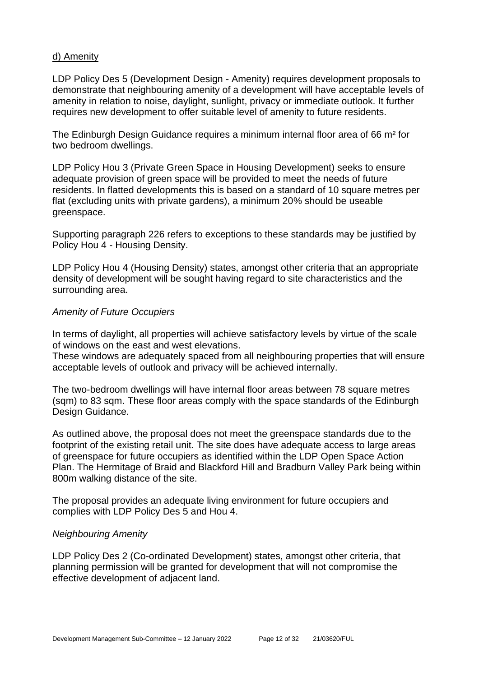#### d) Amenity

LDP Policy Des 5 (Development Design - Amenity) requires development proposals to demonstrate that neighbouring amenity of a development will have acceptable levels of amenity in relation to noise, daylight, sunlight, privacy or immediate outlook. It further requires new development to offer suitable level of amenity to future residents.

The Edinburgh Design Guidance requires a minimum internal floor area of 66 m² for two bedroom dwellings.

LDP Policy Hou 3 (Private Green Space in Housing Development) seeks to ensure adequate provision of green space will be provided to meet the needs of future residents. In flatted developments this is based on a standard of 10 square metres per flat (excluding units with private gardens), a minimum 20% should be useable greenspace.

Supporting paragraph 226 refers to exceptions to these standards may be justified by Policy Hou 4 - Housing Density.

LDP Policy Hou 4 (Housing Density) states, amongst other criteria that an appropriate density of development will be sought having regard to site characteristics and the surrounding area.

#### *Amenity of Future Occupiers*

In terms of daylight, all properties will achieve satisfactory levels by virtue of the scale of windows on the east and west elevations.

These windows are adequately spaced from all neighbouring properties that will ensure acceptable levels of outlook and privacy will be achieved internally.

The two-bedroom dwellings will have internal floor areas between 78 square metres (sqm) to 83 sqm. These floor areas comply with the space standards of the Edinburgh Design Guidance.

As outlined above, the proposal does not meet the greenspace standards due to the footprint of the existing retail unit. The site does have adequate access to large areas of greenspace for future occupiers as identified within the LDP Open Space Action Plan. The Hermitage of Braid and Blackford Hill and Bradburn Valley Park being within 800m walking distance of the site.

The proposal provides an adequate living environment for future occupiers and complies with LDP Policy Des 5 and Hou 4.

#### *Neighbouring Amenity*

LDP Policy Des 2 (Co-ordinated Development) states, amongst other criteria, that planning permission will be granted for development that will not compromise the effective development of adjacent land.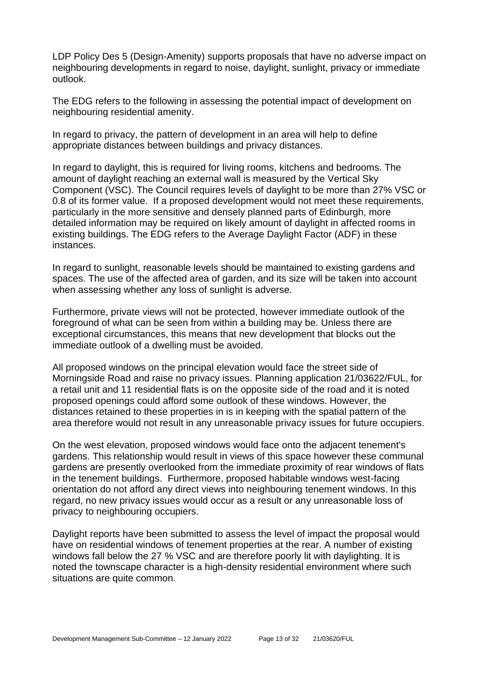LDP Policy Des 5 (Design-Amenity) supports proposals that have no adverse impact on neighbouring developments in regard to noise, daylight, sunlight, privacy or immediate outlook.

The EDG refers to the following in assessing the potential impact of development on neighbouring residential amenity.

In regard to privacy, the pattern of development in an area will help to define appropriate distances between buildings and privacy distances.

In regard to daylight, this is required for living rooms, kitchens and bedrooms. The amount of daylight reaching an external wall is measured by the Vertical Sky Component (VSC). The Council requires levels of daylight to be more than 27% VSC or 0.8 of its former value. If a proposed development would not meet these requirements, particularly in the more sensitive and densely planned parts of Edinburgh, more detailed information may be required on likely amount of daylight in affected rooms in existing buildings. The EDG refers to the Average Daylight Factor (ADF) in these instances.

In regard to sunlight, reasonable levels should be maintained to existing gardens and spaces. The use of the affected area of garden, and its size will be taken into account when assessing whether any loss of sunlight is adverse.

Furthermore, private views will not be protected, however immediate outlook of the foreground of what can be seen from within a building may be. Unless there are exceptional circumstances, this means that new development that blocks out the immediate outlook of a dwelling must be avoided.

All proposed windows on the principal elevation would face the street side of Morningside Road and raise no privacy issues. Planning application 21/03622/FUL, for a retail unit and 11 residential flats is on the opposite side of the road and it is noted proposed openings could afford some outlook of these windows. However, the distances retained to these properties in is in keeping with the spatial pattern of the area therefore would not result in any unreasonable privacy issues for future occupiers.

On the west elevation, proposed windows would face onto the adjacent tenement's gardens. This relationship would result in views of this space however these communal gardens are presently overlooked from the immediate proximity of rear windows of flats in the tenement buildings. Furthermore, proposed habitable windows west-facing orientation do not afford any direct views into neighbouring tenement windows. In this regard, no new privacy issues would occur as a result or any unreasonable loss of privacy to neighbouring occupiers.

Daylight reports have been submitted to assess the level of impact the proposal would have on residential windows of tenement properties at the rear. A number of existing windows fall below the 27 % VSC and are therefore poorly lit with daylighting. It is noted the townscape character is a high-density residential environment where such situations are quite common.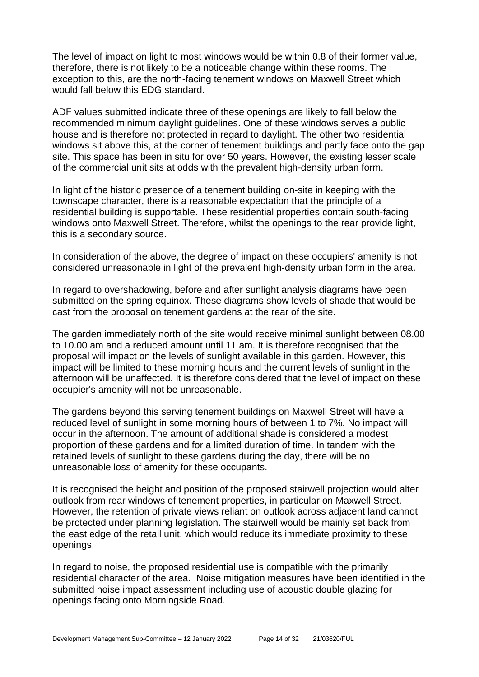The level of impact on light to most windows would be within 0.8 of their former value, therefore, there is not likely to be a noticeable change within these rooms. The exception to this, are the north-facing tenement windows on Maxwell Street which would fall below this EDG standard.

ADF values submitted indicate three of these openings are likely to fall below the recommended minimum daylight guidelines. One of these windows serves a public house and is therefore not protected in regard to daylight. The other two residential windows sit above this, at the corner of tenement buildings and partly face onto the gap site. This space has been in situ for over 50 years. However, the existing lesser scale of the commercial unit sits at odds with the prevalent high-density urban form.

In light of the historic presence of a tenement building on-site in keeping with the townscape character, there is a reasonable expectation that the principle of a residential building is supportable. These residential properties contain south-facing windows onto Maxwell Street. Therefore, whilst the openings to the rear provide light, this is a secondary source.

In consideration of the above, the degree of impact on these occupiers' amenity is not considered unreasonable in light of the prevalent high-density urban form in the area.

In regard to overshadowing, before and after sunlight analysis diagrams have been submitted on the spring equinox. These diagrams show levels of shade that would be cast from the proposal on tenement gardens at the rear of the site.

The garden immediately north of the site would receive minimal sunlight between 08.00 to 10.00 am and a reduced amount until 11 am. It is therefore recognised that the proposal will impact on the levels of sunlight available in this garden. However, this impact will be limited to these morning hours and the current levels of sunlight in the afternoon will be unaffected. It is therefore considered that the level of impact on these occupier's amenity will not be unreasonable.

The gardens beyond this serving tenement buildings on Maxwell Street will have a reduced level of sunlight in some morning hours of between 1 to 7%. No impact will occur in the afternoon. The amount of additional shade is considered a modest proportion of these gardens and for a limited duration of time. In tandem with the retained levels of sunlight to these gardens during the day, there will be no unreasonable loss of amenity for these occupants.

It is recognised the height and position of the proposed stairwell projection would alter outlook from rear windows of tenement properties, in particular on Maxwell Street. However, the retention of private views reliant on outlook across adjacent land cannot be protected under planning legislation. The stairwell would be mainly set back from the east edge of the retail unit, which would reduce its immediate proximity to these openings.

In regard to noise, the proposed residential use is compatible with the primarily residential character of the area. Noise mitigation measures have been identified in the submitted noise impact assessment including use of acoustic double glazing for openings facing onto Morningside Road.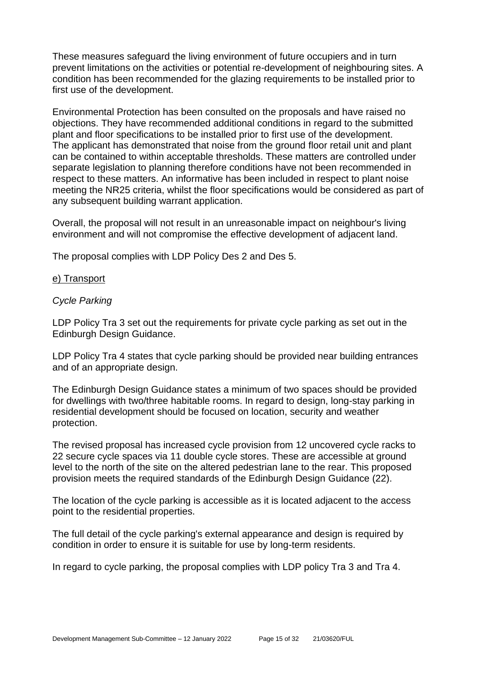These measures safeguard the living environment of future occupiers and in turn prevent limitations on the activities or potential re-development of neighbouring sites. A condition has been recommended for the glazing requirements to be installed prior to first use of the development.

Environmental Protection has been consulted on the proposals and have raised no objections. They have recommended additional conditions in regard to the submitted plant and floor specifications to be installed prior to first use of the development. The applicant has demonstrated that noise from the ground floor retail unit and plant can be contained to within acceptable thresholds. These matters are controlled under separate legislation to planning therefore conditions have not been recommended in respect to these matters. An informative has been included in respect to plant noise meeting the NR25 criteria, whilst the floor specifications would be considered as part of any subsequent building warrant application.

Overall, the proposal will not result in an unreasonable impact on neighbour's living environment and will not compromise the effective development of adjacent land.

The proposal complies with LDP Policy Des 2 and Des 5.

#### e) Transport

#### *Cycle Parking*

LDP Policy Tra 3 set out the requirements for private cycle parking as set out in the Edinburgh Design Guidance.

LDP Policy Tra 4 states that cycle parking should be provided near building entrances and of an appropriate design.

The Edinburgh Design Guidance states a minimum of two spaces should be provided for dwellings with two/three habitable rooms. In regard to design, long-stay parking in residential development should be focused on location, security and weather protection.

The revised proposal has increased cycle provision from 12 uncovered cycle racks to 22 secure cycle spaces via 11 double cycle stores. These are accessible at ground level to the north of the site on the altered pedestrian lane to the rear. This proposed provision meets the required standards of the Edinburgh Design Guidance (22).

The location of the cycle parking is accessible as it is located adjacent to the access point to the residential properties.

The full detail of the cycle parking's external appearance and design is required by condition in order to ensure it is suitable for use by long-term residents.

In regard to cycle parking, the proposal complies with LDP policy Tra 3 and Tra 4.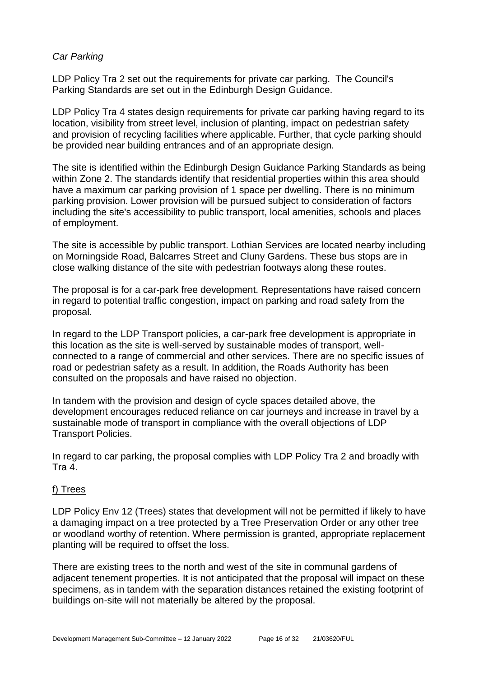#### *Car Parking*

LDP Policy Tra 2 set out the requirements for private car parking. The Council's Parking Standards are set out in the Edinburgh Design Guidance.

LDP Policy Tra 4 states design requirements for private car parking having regard to its location, visibility from street level, inclusion of planting, impact on pedestrian safety and provision of recycling facilities where applicable. Further, that cycle parking should be provided near building entrances and of an appropriate design.

The site is identified within the Edinburgh Design Guidance Parking Standards as being within Zone 2. The standards identify that residential properties within this area should have a maximum car parking provision of 1 space per dwelling. There is no minimum parking provision. Lower provision will be pursued subject to consideration of factors including the site's accessibility to public transport, local amenities, schools and places of employment.

The site is accessible by public transport. Lothian Services are located nearby including on Morningside Road, Balcarres Street and Cluny Gardens. These bus stops are in close walking distance of the site with pedestrian footways along these routes.

The proposal is for a car-park free development. Representations have raised concern in regard to potential traffic congestion, impact on parking and road safety from the proposal.

In regard to the LDP Transport policies, a car-park free development is appropriate in this location as the site is well-served by sustainable modes of transport, wellconnected to a range of commercial and other services. There are no specific issues of road or pedestrian safety as a result. In addition, the Roads Authority has been consulted on the proposals and have raised no objection.

In tandem with the provision and design of cycle spaces detailed above, the development encourages reduced reliance on car journeys and increase in travel by a sustainable mode of transport in compliance with the overall objections of LDP Transport Policies.

In regard to car parking, the proposal complies with LDP Policy Tra 2 and broadly with Tra 4.

#### f) Trees

LDP Policy Env 12 (Trees) states that development will not be permitted if likely to have a damaging impact on a tree protected by a Tree Preservation Order or any other tree or woodland worthy of retention. Where permission is granted, appropriate replacement planting will be required to offset the loss.

There are existing trees to the north and west of the site in communal gardens of adjacent tenement properties. It is not anticipated that the proposal will impact on these specimens, as in tandem with the separation distances retained the existing footprint of buildings on-site will not materially be altered by the proposal.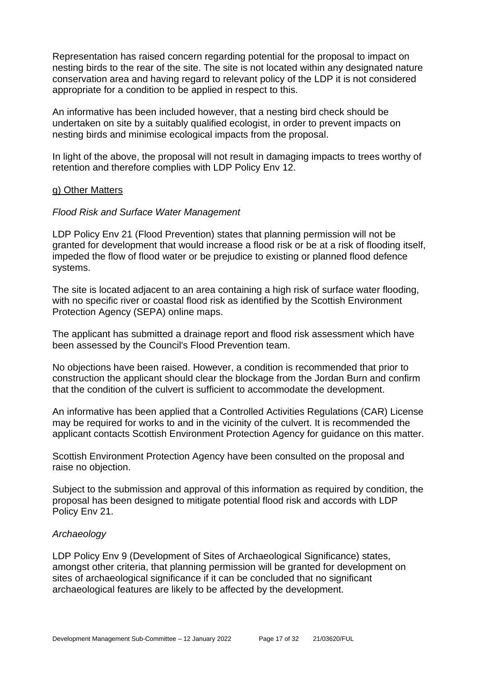Representation has raised concern regarding potential for the proposal to impact on nesting birds to the rear of the site. The site is not located within any designated nature conservation area and having regard to relevant policy of the LDP it is not considered appropriate for a condition to be applied in respect to this.

An informative has been included however, that a nesting bird check should be undertaken on site by a suitably qualified ecologist, in order to prevent impacts on nesting birds and minimise ecological impacts from the proposal.

In light of the above, the proposal will not result in damaging impacts to trees worthy of retention and therefore complies with LDP Policy Env 12.

#### g) Other Matters

#### *Flood Risk and Surface Water Management*

LDP Policy Env 21 (Flood Prevention) states that planning permission will not be granted for development that would increase a flood risk or be at a risk of flooding itself, impeded the flow of flood water or be prejudice to existing or planned flood defence systems.

The site is located adjacent to an area containing a high risk of surface water flooding, with no specific river or coastal flood risk as identified by the Scottish Environment Protection Agency (SEPA) online maps.

The applicant has submitted a drainage report and flood risk assessment which have been assessed by the Council's Flood Prevention team.

No objections have been raised. However, a condition is recommended that prior to construction the applicant should clear the blockage from the Jordan Burn and confirm that the condition of the culvert is sufficient to accommodate the development.

An informative has been applied that a Controlled Activities Regulations (CAR) License may be required for works to and in the vicinity of the culvert. It is recommended the applicant contacts Scottish Environment Protection Agency for guidance on this matter.

Scottish Environment Protection Agency have been consulted on the proposal and raise no objection.

Subject to the submission and approval of this information as required by condition, the proposal has been designed to mitigate potential flood risk and accords with LDP Policy Env 21.

#### *Archaeology*

LDP Policy Env 9 (Development of Sites of Archaeological Significance) states, amongst other criteria, that planning permission will be granted for development on sites of archaeological significance if it can be concluded that no significant archaeological features are likely to be affected by the development.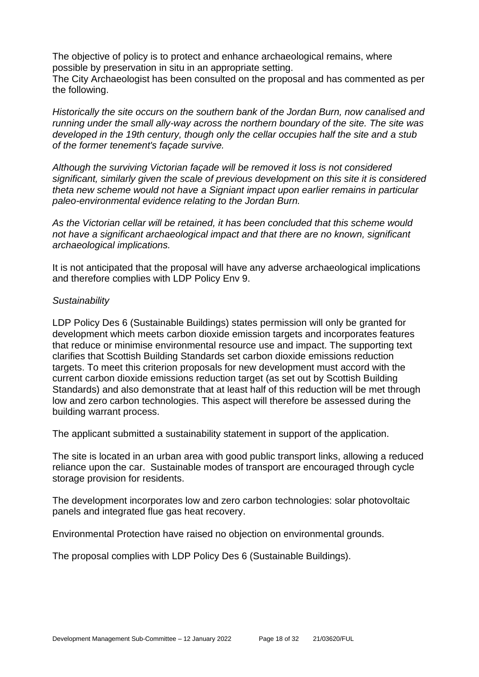The objective of policy is to protect and enhance archaeological remains, where possible by preservation in situ in an appropriate setting. The City Archaeologist has been consulted on the proposal and has commented as per

the following.

*Historically the site occurs on the southern bank of the Jordan Burn, now canalised and running under the small ally-way across the northern boundary of the site. The site was developed in the 19th century, though only the cellar occupies half the site and a stub of the former tenement's façade survive.* 

*Although the surviving Victorian façade will be removed it loss is not considered significant, similarly given the scale of previous development on this site it is considered theta new scheme would not have a Signiant impact upon earlier remains in particular paleo-environmental evidence relating to the Jordan Burn.* 

*As the Victorian cellar will be retained, it has been concluded that this scheme would not have a significant archaeological impact and that there are no known, significant archaeological implications.*

It is not anticipated that the proposal will have any adverse archaeological implications and therefore complies with LDP Policy Env 9.

#### *Sustainability*

LDP Policy Des 6 (Sustainable Buildings) states permission will only be granted for development which meets carbon dioxide emission targets and incorporates features that reduce or minimise environmental resource use and impact. The supporting text clarifies that Scottish Building Standards set carbon dioxide emissions reduction targets. To meet this criterion proposals for new development must accord with the current carbon dioxide emissions reduction target (as set out by Scottish Building Standards) and also demonstrate that at least half of this reduction will be met through low and zero carbon technologies. This aspect will therefore be assessed during the building warrant process.

The applicant submitted a sustainability statement in support of the application.

The site is located in an urban area with good public transport links, allowing a reduced reliance upon the car. Sustainable modes of transport are encouraged through cycle storage provision for residents.

The development incorporates low and zero carbon technologies: solar photovoltaic panels and integrated flue gas heat recovery.

Environmental Protection have raised no objection on environmental grounds.

The proposal complies with LDP Policy Des 6 (Sustainable Buildings).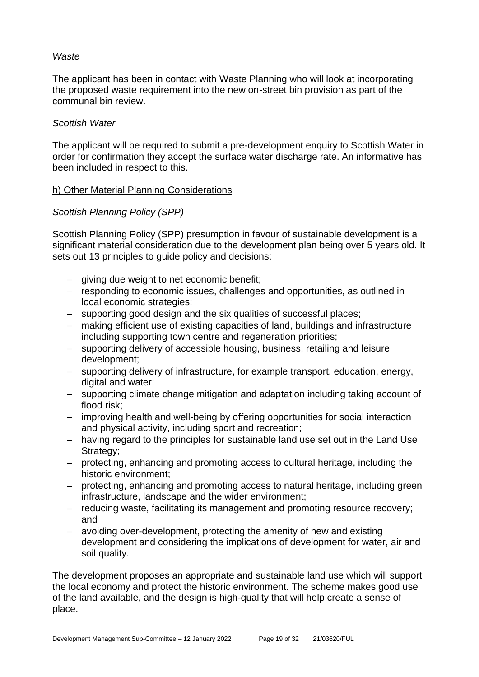#### *Waste*

The applicant has been in contact with Waste Planning who will look at incorporating the proposed waste requirement into the new on-street bin provision as part of the communal bin review.

#### *Scottish Water*

The applicant will be required to submit a pre-development enquiry to Scottish Water in order for confirmation they accept the surface water discharge rate. An informative has been included in respect to this.

#### h) Other Material Planning Considerations

#### *Scottish Planning Policy (SPP)*

Scottish Planning Policy (SPP) presumption in favour of sustainable development is a significant material consideration due to the development plan being over 5 years old. It sets out 13 principles to guide policy and decisions:

- − giving due weight to net economic benefit;
- − responding to economic issues, challenges and opportunities, as outlined in local economic strategies;
- − supporting good design and the six qualities of successful places;
- − making efficient use of existing capacities of land, buildings and infrastructure including supporting town centre and regeneration priorities;
- − supporting delivery of accessible housing, business, retailing and leisure development;
- − supporting delivery of infrastructure, for example transport, education, energy, digital and water;
- − supporting climate change mitigation and adaptation including taking account of flood risk;
- − improving health and well-being by offering opportunities for social interaction and physical activity, including sport and recreation;
- − having regard to the principles for sustainable land use set out in the Land Use Strategy;
- − protecting, enhancing and promoting access to cultural heritage, including the historic environment;
- − protecting, enhancing and promoting access to natural heritage, including green infrastructure, landscape and the wider environment;
- − reducing waste, facilitating its management and promoting resource recovery; and
- − avoiding over-development, protecting the amenity of new and existing development and considering the implications of development for water, air and soil quality.

The development proposes an appropriate and sustainable land use which will support the local economy and protect the historic environment. The scheme makes good use of the land available, and the design is high-quality that will help create a sense of place.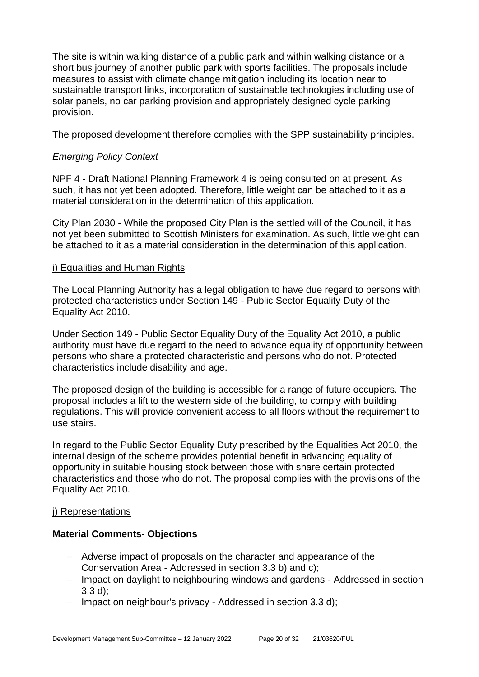The site is within walking distance of a public park and within walking distance or a short bus journey of another public park with sports facilities. The proposals include measures to assist with climate change mitigation including its location near to sustainable transport links, incorporation of sustainable technologies including use of solar panels, no car parking provision and appropriately designed cycle parking provision.

The proposed development therefore complies with the SPP sustainability principles.

#### *Emerging Policy Context*

NPF 4 - Draft National Planning Framework 4 is being consulted on at present. As such, it has not yet been adopted. Therefore, little weight can be attached to it as a material consideration in the determination of this application.

City Plan 2030 - While the proposed City Plan is the settled will of the Council, it has not yet been submitted to Scottish Ministers for examination. As such, little weight can be attached to it as a material consideration in the determination of this application.

#### i) Equalities and Human Rights

The Local Planning Authority has a legal obligation to have due regard to persons with protected characteristics under Section 149 - Public Sector Equality Duty of the Equality Act 2010.

Under Section 149 - Public Sector Equality Duty of the Equality Act 2010, a public authority must have due regard to the need to advance equality of opportunity between persons who share a protected characteristic and persons who do not. Protected characteristics include disability and age.

The proposed design of the building is accessible for a range of future occupiers. The proposal includes a lift to the western side of the building, to comply with building regulations. This will provide convenient access to all floors without the requirement to use stairs.

In regard to the Public Sector Equality Duty prescribed by the Equalities Act 2010, the internal design of the scheme provides potential benefit in advancing equality of opportunity in suitable housing stock between those with share certain protected characteristics and those who do not. The proposal complies with the provisions of the Equality Act 2010.

#### j) Representations

#### **Material Comments- Objections**

- − Adverse impact of proposals on the character and appearance of the Conservation Area - Addressed in section 3.3 b) and c);
- − Impact on daylight to neighbouring windows and gardens Addressed in section 3.3 d);
- − Impact on neighbour's privacy Addressed in section 3.3 d);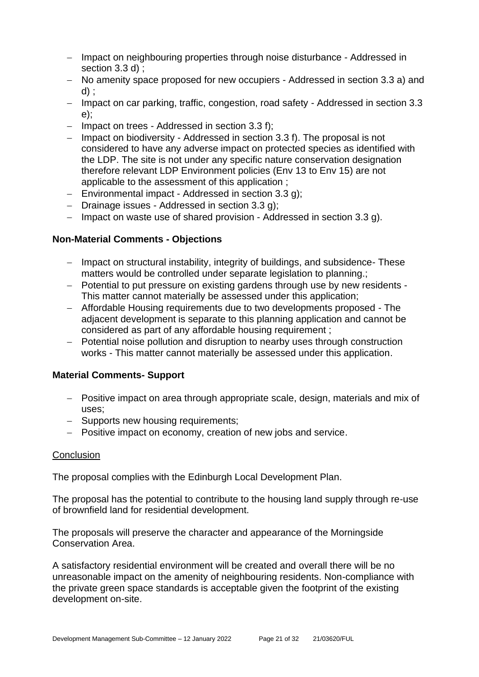- − Impact on neighbouring properties through noise disturbance Addressed in section 3.3 d) :
- − No amenity space proposed for new occupiers Addressed in section 3.3 a) and d) ;
- − Impact on car parking, traffic, congestion, road safety Addressed in section 3.3 e);
- − Impact on trees Addressed in section 3.3 f);
- − Impact on biodiversity Addressed in section 3.3 f). The proposal is not considered to have any adverse impact on protected species as identified with the LDP. The site is not under any specific nature conservation designation therefore relevant LDP Environment policies (Env 13 to Env 15) are not applicable to the assessment of this application ;
- − Environmental impact Addressed in section 3.3 g);
- − Drainage issues Addressed in section 3.3 g);
- − Impact on waste use of shared provision Addressed in section 3.3 g).

#### **Non-Material Comments - Objections**

- − Impact on structural instability, integrity of buildings, and subsidence- These matters would be controlled under separate legislation to planning.;
- − Potential to put pressure on existing gardens through use by new residents This matter cannot materially be assessed under this application;
- − Affordable Housing requirements due to two developments proposed The adjacent development is separate to this planning application and cannot be considered as part of any affordable housing requirement ;
- − Potential noise pollution and disruption to nearby uses through construction works - This matter cannot materially be assessed under this application.

#### **Material Comments- Support**

- − Positive impact on area through appropriate scale, design, materials and mix of uses;
- − Supports new housing requirements;
- − Positive impact on economy, creation of new jobs and service.

#### **Conclusion**

The proposal complies with the Edinburgh Local Development Plan.

The proposal has the potential to contribute to the housing land supply through re-use of brownfield land for residential development.

The proposals will preserve the character and appearance of the Morningside Conservation Area.

A satisfactory residential environment will be created and overall there will be no unreasonable impact on the amenity of neighbouring residents. Non-compliance with the private green space standards is acceptable given the footprint of the existing development on-site.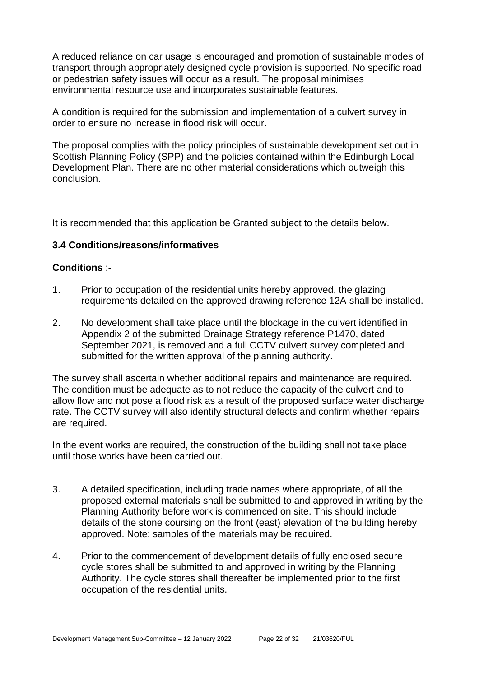A reduced reliance on car usage is encouraged and promotion of sustainable modes of transport through appropriately designed cycle provision is supported. No specific road or pedestrian safety issues will occur as a result. The proposal minimises environmental resource use and incorporates sustainable features.

A condition is required for the submission and implementation of a culvert survey in order to ensure no increase in flood risk will occur.

The proposal complies with the policy principles of sustainable development set out in Scottish Planning Policy (SPP) and the policies contained within the Edinburgh Local Development Plan. There are no other material considerations which outweigh this conclusion.

It is recommended that this application be Granted subject to the details below.

#### **3.4 Conditions/reasons/informatives**

#### **Conditions** :-

- 1. Prior to occupation of the residential units hereby approved, the glazing requirements detailed on the approved drawing reference 12A shall be installed.
- 2. No development shall take place until the blockage in the culvert identified in Appendix 2 of the submitted Drainage Strategy reference P1470, dated September 2021, is removed and a full CCTV culvert survey completed and submitted for the written approval of the planning authority.

The survey shall ascertain whether additional repairs and maintenance are required. The condition must be adequate as to not reduce the capacity of the culvert and to allow flow and not pose a flood risk as a result of the proposed surface water discharge rate. The CCTV survey will also identify structural defects and confirm whether repairs are required.

In the event works are required, the construction of the building shall not take place until those works have been carried out.

- 3. A detailed specification, including trade names where appropriate, of all the proposed external materials shall be submitted to and approved in writing by the Planning Authority before work is commenced on site. This should include details of the stone coursing on the front (east) elevation of the building hereby approved. Note: samples of the materials may be required.
- 4. Prior to the commencement of development details of fully enclosed secure cycle stores shall be submitted to and approved in writing by the Planning Authority. The cycle stores shall thereafter be implemented prior to the first occupation of the residential units.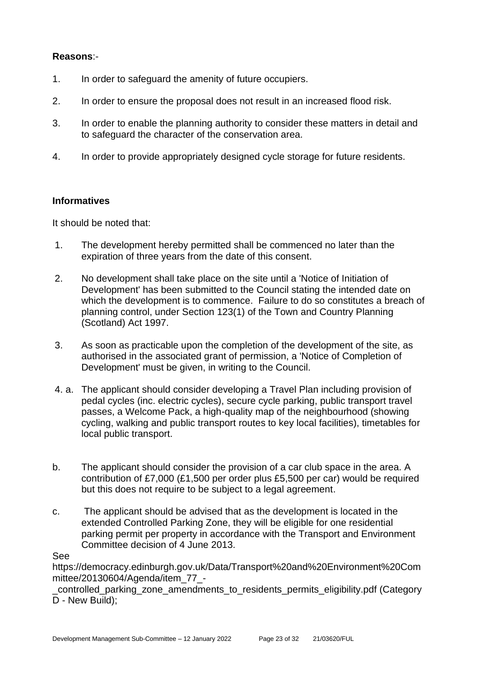#### **Reasons**:-

- 1. In order to safeguard the amenity of future occupiers.
- 2. In order to ensure the proposal does not result in an increased flood risk.
- 3. In order to enable the planning authority to consider these matters in detail and to safeguard the character of the conservation area.
- 4. In order to provide appropriately designed cycle storage for future residents.

#### **Informatives**

It should be noted that:

- 1. The development hereby permitted shall be commenced no later than the expiration of three years from the date of this consent.
- 2. No development shall take place on the site until a 'Notice of Initiation of Development' has been submitted to the Council stating the intended date on which the development is to commence. Failure to do so constitutes a breach of planning control, under Section 123(1) of the Town and Country Planning (Scotland) Act 1997.
- 3. As soon as practicable upon the completion of the development of the site, as authorised in the associated grant of permission, a 'Notice of Completion of Development' must be given, in writing to the Council.
- 4. a. The applicant should consider developing a Travel Plan including provision of pedal cycles (inc. electric cycles), secure cycle parking, public transport travel passes, a Welcome Pack, a high-quality map of the neighbourhood (showing cycling, walking and public transport routes to key local facilities), timetables for local public transport.
- b. The applicant should consider the provision of a car club space in the area. A contribution of £7,000 (£1,500 per order plus £5,500 per car) would be required but this does not require to be subject to a legal agreement.
- c. The applicant should be advised that as the development is located in the extended Controlled Parking Zone, they will be eligible for one residential parking permit per property in accordance with the Transport and Environment Committee decision of 4 June 2013.

See

https://democracy.edinburgh.gov.uk/Data/Transport%20and%20Environment%20Com mittee/20130604/Agenda/item\_77\_-

\_controlled\_parking\_zone\_amendments\_to\_residents\_permits\_eligibility.pdf (Category D - New Build);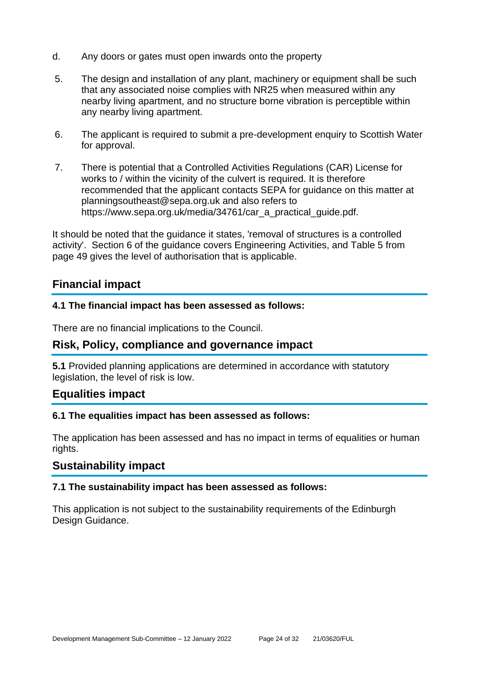- d. Any doors or gates must open inwards onto the property
- 5. The design and installation of any plant, machinery or equipment shall be such that any associated noise complies with NR25 when measured within any nearby living apartment, and no structure borne vibration is perceptible within any nearby living apartment.
- 6. The applicant is required to submit a pre-development enquiry to Scottish Water for approval.
- 7. There is potential that a Controlled Activities Regulations (CAR) License for works to / within the vicinity of the culvert is required. It is therefore recommended that the applicant contacts SEPA for guidance on this matter at planningsoutheast@sepa.org.uk and also refers to https://www.sepa.org.uk/media/34761/car\_a\_practical\_quide.pdf.

It should be noted that the guidance it states, 'removal of structures is a controlled activity'. Section 6 of the guidance covers Engineering Activities, and Table 5 from page 49 gives the level of authorisation that is applicable.

# **Financial impact**

#### **4.1 The financial impact has been assessed as follows:**

There are no financial implications to the Council.

#### **Risk, Policy, compliance and governance impact**

**5.1** Provided planning applications are determined in accordance with statutory legislation, the level of risk is low.

#### **Equalities impact**

#### **6.1 The equalities impact has been assessed as follows:**

The application has been assessed and has no impact in terms of equalities or human rights.

#### **Sustainability impact**

#### **7.1 The sustainability impact has been assessed as follows:**

This application is not subject to the sustainability requirements of the Edinburgh Design Guidance.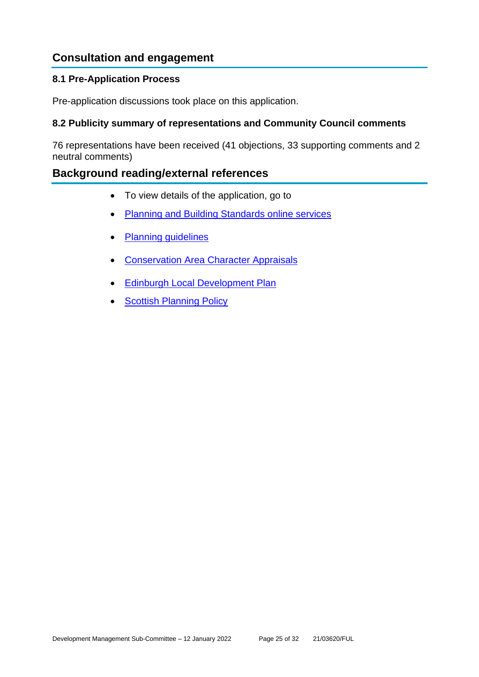# **Consultation and engagement**

#### **8.1 Pre-Application Process**

Pre-application discussions took place on this application.

#### **8.2 Publicity summary of representations and Community Council comments**

76 representations have been received (41 objections, 33 supporting comments and 2 neutral comments)

# **Background reading/external references**

- To view details of the application, go to
- [Planning and Building Standards online services](https://citydev-portal.edinburgh.gov.uk/idoxpa-web/search.do?action=simple&searchType=Application)
- [Planning guidelines](http://www.edinburgh.gov.uk/planningguidelines)
- [Conservation Area Character Appraisals](http://www.edinburgh.gov.uk/characterappraisals)
- **[Edinburgh Local Development Plan](http://www.edinburgh.gov.uk/localdevelopmentplan)**
- **[Scottish Planning Policy](http://www.scotland.gov.uk/Topics/Built-Environment/planning/Policy)**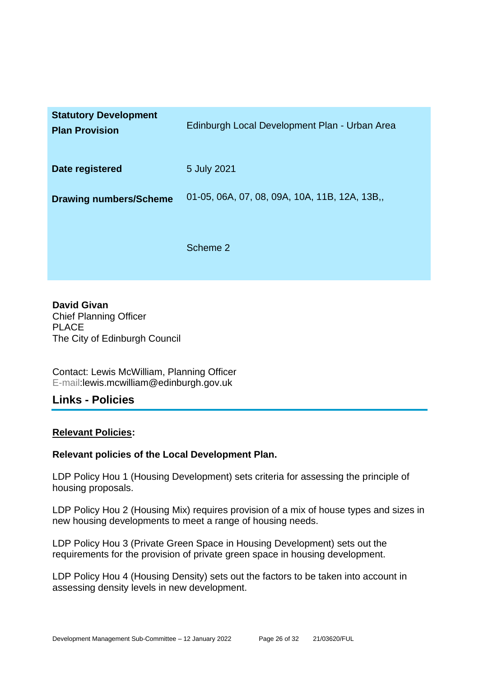| <b>Statutory Development</b><br><b>Plan Provision</b> | Edinburgh Local Development Plan - Urban Area |
|-------------------------------------------------------|-----------------------------------------------|
| Date registered                                       | 5 July 2021                                   |
| <b>Drawing numbers/Scheme</b>                         | 01-05, 06A, 07, 08, 09A, 10A, 11B, 12A, 13B,  |
|                                                       | Scheme 2                                      |

**David Givan** Chief Planning Officer PLACE The City of Edinburgh Council

Contact: Lewis McWilliam, Planning Officer E-mail:lewis.mcwilliam@edinburgh.gov.uk

#### **Links - Policies**

#### **Relevant Policies:**

#### **Relevant policies of the Local Development Plan.**

LDP Policy Hou 1 (Housing Development) sets criteria for assessing the principle of housing proposals.

LDP Policy Hou 2 (Housing Mix) requires provision of a mix of house types and sizes in new housing developments to meet a range of housing needs.

LDP Policy Hou 3 (Private Green Space in Housing Development) sets out the requirements for the provision of private green space in housing development.

LDP Policy Hou 4 (Housing Density) sets out the factors to be taken into account in assessing density levels in new development.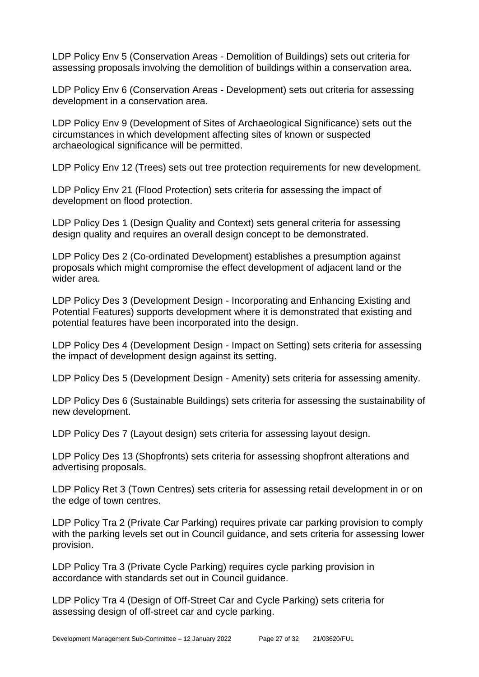LDP Policy Env 5 (Conservation Areas - Demolition of Buildings) sets out criteria for assessing proposals involving the demolition of buildings within a conservation area.

LDP Policy Env 6 (Conservation Areas - Development) sets out criteria for assessing development in a conservation area.

LDP Policy Env 9 (Development of Sites of Archaeological Significance) sets out the circumstances in which development affecting sites of known or suspected archaeological significance will be permitted.

LDP Policy Env 12 (Trees) sets out tree protection requirements for new development.

LDP Policy Env 21 (Flood Protection) sets criteria for assessing the impact of development on flood protection.

LDP Policy Des 1 (Design Quality and Context) sets general criteria for assessing design quality and requires an overall design concept to be demonstrated.

LDP Policy Des 2 (Co-ordinated Development) establishes a presumption against proposals which might compromise the effect development of adjacent land or the wider area.

LDP Policy Des 3 (Development Design - Incorporating and Enhancing Existing and Potential Features) supports development where it is demonstrated that existing and potential features have been incorporated into the design.

LDP Policy Des 4 (Development Design - Impact on Setting) sets criteria for assessing the impact of development design against its setting.

LDP Policy Des 5 (Development Design - Amenity) sets criteria for assessing amenity.

LDP Policy Des 6 (Sustainable Buildings) sets criteria for assessing the sustainability of new development.

LDP Policy Des 7 (Layout design) sets criteria for assessing layout design.

LDP Policy Des 13 (Shopfronts) sets criteria for assessing shopfront alterations and advertising proposals.

LDP Policy Ret 3 (Town Centres) sets criteria for assessing retail development in or on the edge of town centres.

LDP Policy Tra 2 (Private Car Parking) requires private car parking provision to comply with the parking levels set out in Council guidance, and sets criteria for assessing lower provision.

LDP Policy Tra 3 (Private Cycle Parking) requires cycle parking provision in accordance with standards set out in Council guidance.

LDP Policy Tra 4 (Design of Off-Street Car and Cycle Parking) sets criteria for assessing design of off-street car and cycle parking.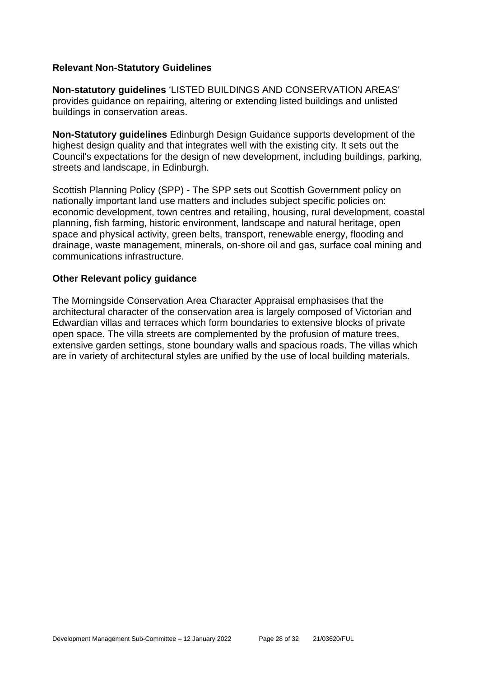#### **Relevant Non-Statutory Guidelines**

**Non-statutory guidelines** 'LISTED BUILDINGS AND CONSERVATION AREAS' provides guidance on repairing, altering or extending listed buildings and unlisted buildings in conservation areas.

**Non-Statutory guidelines** Edinburgh Design Guidance supports development of the highest design quality and that integrates well with the existing city. It sets out the Council's expectations for the design of new development, including buildings, parking, streets and landscape, in Edinburgh.

Scottish Planning Policy (SPP) - The SPP sets out Scottish Government policy on nationally important land use matters and includes subject specific policies on: economic development, town centres and retailing, housing, rural development, coastal planning, fish farming, historic environment, landscape and natural heritage, open space and physical activity, green belts, transport, renewable energy, flooding and drainage, waste management, minerals, on-shore oil and gas, surface coal mining and communications infrastructure.

#### **Other Relevant policy guidance**

The Morningside Conservation Area Character Appraisal emphasises that the architectural character of the conservation area is largely composed of Victorian and Edwardian villas and terraces which form boundaries to extensive blocks of private open space. The villa streets are complemented by the profusion of mature trees, extensive garden settings, stone boundary walls and spacious roads. The villas which are in variety of architectural styles are unified by the use of local building materials.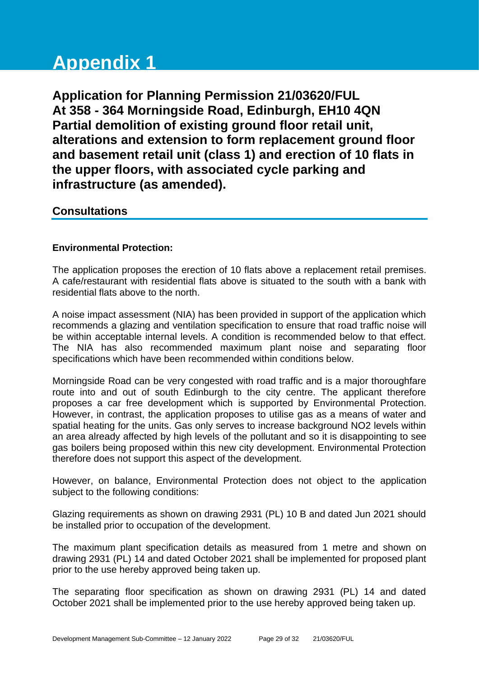# **Appendix 1**

**Application for Planning Permission 21/03620/FUL At 358 - 364 Morningside Road, Edinburgh, EH10 4QN Partial demolition of existing ground floor retail unit, alterations and extension to form replacement ground floor and basement retail unit (class 1) and erection of 10 flats in the upper floors, with associated cycle parking and infrastructure (as amended).**

# **Consultations**

#### **Environmental Protection:**

The application proposes the erection of 10 flats above a replacement retail premises. A cafe/restaurant with residential flats above is situated to the south with a bank with residential flats above to the north.

A noise impact assessment (NIA) has been provided in support of the application which recommends a glazing and ventilation specification to ensure that road traffic noise will be within acceptable internal levels. A condition is recommended below to that effect. The NIA has also recommended maximum plant noise and separating floor specifications which have been recommended within conditions below.

Morningside Road can be very congested with road traffic and is a major thoroughfare route into and out of south Edinburgh to the city centre. The applicant therefore proposes a car free development which is supported by Environmental Protection. However, in contrast, the application proposes to utilise gas as a means of water and spatial heating for the units. Gas only serves to increase background NO2 levels within an area already affected by high levels of the pollutant and so it is disappointing to see gas boilers being proposed within this new city development. Environmental Protection therefore does not support this aspect of the development.

However, on balance, Environmental Protection does not object to the application subject to the following conditions:

Glazing requirements as shown on drawing 2931 (PL) 10 B and dated Jun 2021 should be installed prior to occupation of the development.

The maximum plant specification details as measured from 1 metre and shown on drawing 2931 (PL) 14 and dated October 2021 shall be implemented for proposed plant prior to the use hereby approved being taken up.

The separating floor specification as shown on drawing 2931 (PL) 14 and dated October 2021 shall be implemented prior to the use hereby approved being taken up.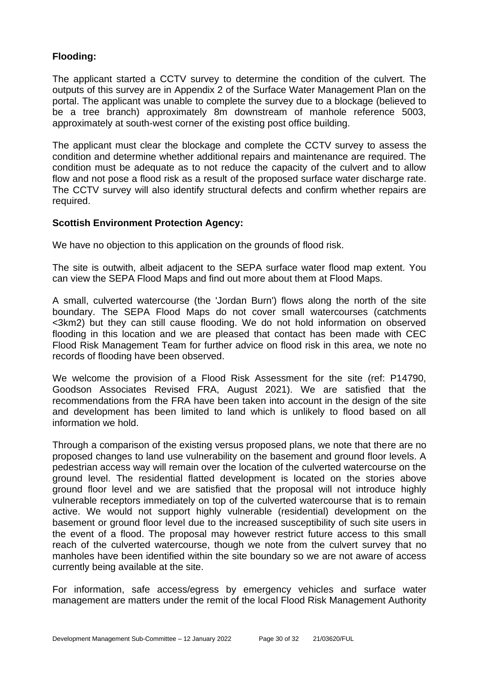#### **Flooding:**

The applicant started a CCTV survey to determine the condition of the culvert. The outputs of this survey are in Appendix 2 of the Surface Water Management Plan on the portal. The applicant was unable to complete the survey due to a blockage (believed to be a tree branch) approximately 8m downstream of manhole reference 5003, approximately at south-west corner of the existing post office building.

The applicant must clear the blockage and complete the CCTV survey to assess the condition and determine whether additional repairs and maintenance are required. The condition must be adequate as to not reduce the capacity of the culvert and to allow flow and not pose a flood risk as a result of the proposed surface water discharge rate. The CCTV survey will also identify structural defects and confirm whether repairs are required.

#### **Scottish Environment Protection Agency:**

We have no objection to this application on the grounds of flood risk.

The site is outwith, albeit adjacent to the SEPA surface water flood map extent. You can view the SEPA Flood Maps and find out more about them at Flood Maps.

A small, culverted watercourse (the 'Jordan Burn') flows along the north of the site boundary. The SEPA Flood Maps do not cover small watercourses (catchments <3km2) but they can still cause flooding. We do not hold information on observed flooding in this location and we are pleased that contact has been made with CEC Flood Risk Management Team for further advice on flood risk in this area, we note no records of flooding have been observed.

We welcome the provision of a Flood Risk Assessment for the site (ref: P14790, Goodson Associates Revised FRA, August 2021). We are satisfied that the recommendations from the FRA have been taken into account in the design of the site and development has been limited to land which is unlikely to flood based on all information we hold.

Through a comparison of the existing versus proposed plans, we note that there are no proposed changes to land use vulnerability on the basement and ground floor levels. A pedestrian access way will remain over the location of the culverted watercourse on the ground level. The residential flatted development is located on the stories above ground floor level and we are satisfied that the proposal will not introduce highly vulnerable receptors immediately on top of the culverted watercourse that is to remain active. We would not support highly vulnerable (residential) development on the basement or ground floor level due to the increased susceptibility of such site users in the event of a flood. The proposal may however restrict future access to this small reach of the culverted watercourse, though we note from the culvert survey that no manholes have been identified within the site boundary so we are not aware of access currently being available at the site.

For information, safe access/egress by emergency vehicles and surface water management are matters under the remit of the local Flood Risk Management Authority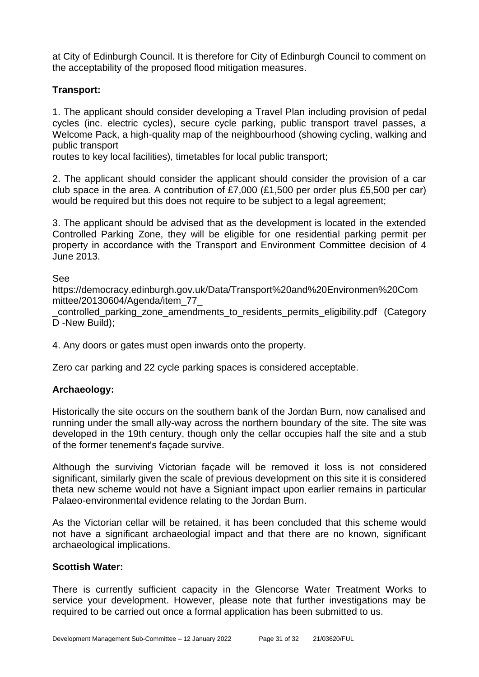at City of Edinburgh Council. It is therefore for City of Edinburgh Council to comment on the acceptability of the proposed flood mitigation measures.

#### **Transport:**

1. The applicant should consider developing a Travel Plan including provision of pedal cycles (inc. electric cycles), secure cycle parking, public transport travel passes, a Welcome Pack, a high-quality map of the neighbourhood (showing cycling, walking and public transport

routes to key local facilities), timetables for local public transport;

2. The applicant should consider the applicant should consider the provision of a car club space in the area. A contribution of £7,000 (£1,500 per order plus £5,500 per car) would be required but this does not require to be subject to a legal agreement;

3. The applicant should be advised that as the development is located in the extended Controlled Parking Zone, they will be eligible for one residential parking permit per property in accordance with the Transport and Environment Committee decision of 4 June 2013.

See

https://democracy.edinburgh.gov.uk/Data/Transport%20and%20Environmen%20Com mittee/20130604/Agenda/item\_77\_

\_controlled\_parking\_zone\_amendments\_to\_residents\_permits\_eligibility.pdf (Category D -New Build);

4. Any doors or gates must open inwards onto the property.

Zero car parking and 22 cycle parking spaces is considered acceptable.

#### **Archaeology:**

Historically the site occurs on the southern bank of the Jordan Burn, now canalised and running under the small ally-way across the northern boundary of the site. The site was developed in the 19th century, though only the cellar occupies half the site and a stub of the former tenement's façade survive.

Although the surviving Victorian façade will be removed it loss is not considered significant, similarly given the scale of previous development on this site it is considered theta new scheme would not have a Signiant impact upon earlier remains in particular Palaeo-environmental evidence relating to the Jordan Burn.

As the Victorian cellar will be retained, it has been concluded that this scheme would not have a significant archaeologial impact and that there are no known, significant archaeological implications.

#### **Scottish Water:**

There is currently sufficient capacity in the Glencorse Water Treatment Works to service your development. However, please note that further investigations may be required to be carried out once a formal application has been submitted to us.